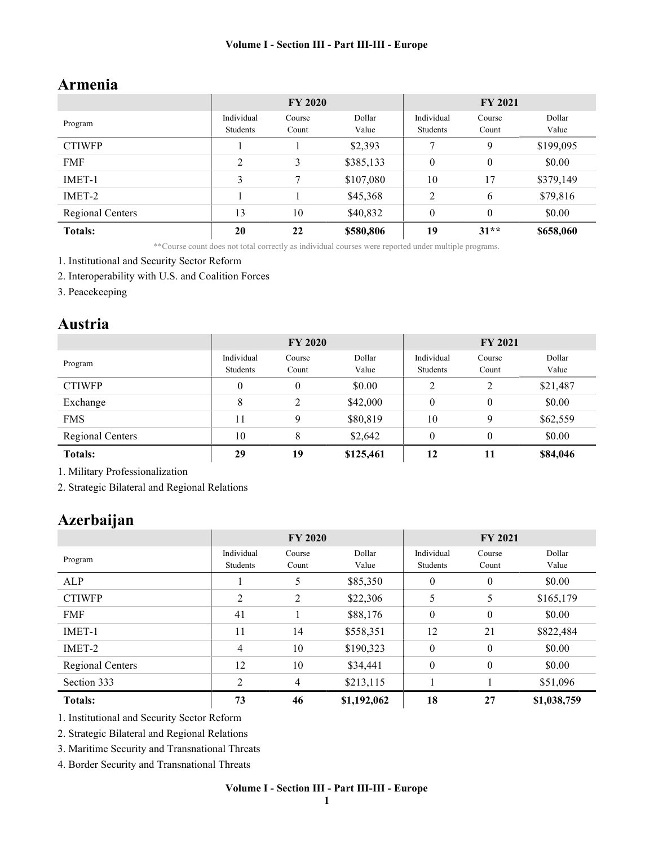# Armenia

|                  | <b>FY 2020</b> |        |           | <b>FY 2021</b> |          |           |
|------------------|----------------|--------|-----------|----------------|----------|-----------|
|                  | Individual     | Course | Dollar    | Individual     | Course   | Dollar    |
| Program          | Students       | Count  | Value     | Students       | Count    | Value     |
| <b>CTIWFP</b>    |                |        | \$2,393   |                | 9        | \$199,095 |
| <b>FMF</b>       | 2              | 3      | \$385,133 | $\theta$       | $\theta$ | \$0.00    |
| IMET-1           | 3              |        | \$107,080 | 10             | 17       | \$379,149 |
| IMET-2           |                |        | \$45,368  | 2              | 6        | \$79,816  |
| Regional Centers | 13             | 10     | \$40,832  | $\theta$       | $\theta$ | \$0.00    |
| <b>Totals:</b>   | 20             | 22     | \$580,806 | 19             | $31**$   | \$658,060 |

\*\*Course count does not total correctly as individual courses were reported under multiple programs.

- 1. Institutional and Security Sector Reform
- 2. Interoperability with U.S. and Coalition Forces
- 3. Peacekeeping

### Austria

|                         | <b>FY 2020</b>         |                 |                 | <b>FY 2021</b>         |                 |                 |
|-------------------------|------------------------|-----------------|-----------------|------------------------|-----------------|-----------------|
| Program                 | Individual<br>Students | Course<br>Count | Dollar<br>Value | Individual<br>Students | Course<br>Count | Dollar<br>Value |
| <b>CTIWFP</b>           | $\Omega$               | $\theta$        | \$0.00          | 2                      | 2               | \$21,487        |
| Exchange                | 8                      | $\overline{2}$  | \$42,000        | $\boldsymbol{0}$       | 0               | \$0.00          |
| <b>FMS</b>              | 11                     | 9               | \$80,819        | 10                     | 9               | \$62,559        |
| <b>Regional Centers</b> | 10                     | 8               | \$2,642         | $\theta$               | 0               | \$0.00          |
| <b>Totals:</b>          | 29                     | 19              | \$125,461       | 12                     | 11              | \$84,046        |

1. Military Professionalization

2. Strategic Bilateral and Regional Relations

# Azerbaijan

|                  | <b>FY 2020</b>         |                 |                 | <b>FY 2021</b>         |                 |                 |
|------------------|------------------------|-----------------|-----------------|------------------------|-----------------|-----------------|
| Program          | Individual<br>Students | Course<br>Count | Dollar<br>Value | Individual<br>Students | Course<br>Count | Dollar<br>Value |
| ALP              |                        | 5               | \$85,350        | $\mathbf{0}$           | $\mathbf{0}$    | \$0.00          |
| <b>CTIWFP</b>    | $\overline{2}$         | $\overline{2}$  | \$22,306        | 5                      | 5               | \$165,179       |
| <b>FMF</b>       | 41                     |                 | \$88,176        | $\mathbf{0}$           | $\mathbf{0}$    | \$0.00          |
| IMET-1           | 11                     | 14              | \$558,351       | 12                     | 21              | \$822,484       |
| IMET-2           | $\overline{4}$         | 10              | \$190,323       | $\mathbf{0}$           | $\mathbf{0}$    | \$0.00          |
| Regional Centers | 12                     | 10              | \$34,441        | $\mathbf{0}$           | $\mathbf{0}$    | \$0.00          |
| Section 333      | $\mathcal{D}$          | $\overline{4}$  | \$213,115       |                        |                 | \$51,096        |
| <b>Totals:</b>   | 73                     | 46              | \$1,192,062     | 18                     | 27              | \$1,038,759     |

1. Institutional and Security Sector Reform

2. Strategic Bilateral and Regional Relations

3. Maritime Security and Transnational Threats

4. Border Security and Transnational Threats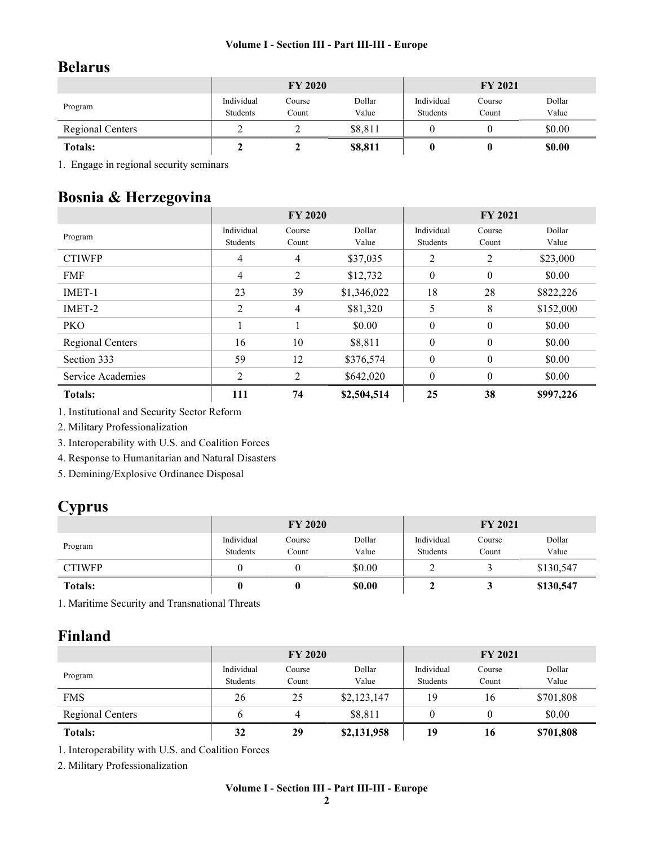# Belarus

|                         | <b>FY 2020</b>         |                 |                 | <b>FY 2021</b>         |                 |                 |
|-------------------------|------------------------|-----------------|-----------------|------------------------|-----------------|-----------------|
| Program                 | Individual<br>Students | Course<br>Count | Dollar<br>Value | Individual<br>Students | Course<br>Count | Dollar<br>Value |
| <b>Regional Centers</b> |                        |                 | \$8,811         |                        |                 | \$0.00          |
| <b>Totals:</b>          |                        |                 | \$8,811         |                        |                 | <b>\$0.00</b>   |

1. Engage in regional security seminars

# Bosnia & Herzegovina

|                   | <b>FY 2020</b>         |                 |                 | <b>FY 2021</b>         |                  |                 |
|-------------------|------------------------|-----------------|-----------------|------------------------|------------------|-----------------|
| Program           | Individual<br>Students | Course<br>Count | Dollar<br>Value | Individual<br>Students | Course<br>Count  | Dollar<br>Value |
| <b>CTIWFP</b>     | 4                      | $\overline{4}$  | \$37,035        | 2                      | 2                | \$23,000        |
| <b>FMF</b>        | 4                      | $\overline{2}$  | \$12,732        | $\mathbf{0}$           | $\mathbf{0}$     | \$0.00          |
| IMET-1            | 23                     | 39              | \$1,346,022     | 18                     | 28               | \$822,226       |
| IMET-2            | $\overline{2}$         | 4               | \$81,320        | 5                      | 8                | \$152,000       |
| PKO               |                        |                 | \$0.00          | $\boldsymbol{0}$       | $\mathbf{0}$     | \$0.00          |
| Regional Centers  | 16                     | 10              | \$8,811         | $\boldsymbol{0}$       | $\mathbf{0}$     | \$0.00          |
| Section 333       | 59                     | 12              | \$376,574       | $\boldsymbol{0}$       | $\boldsymbol{0}$ | \$0.00          |
| Service Academies | $\overline{2}$         | 2               | \$642,020       | $\mathbf{0}$           | $\theta$         | \$0.00          |
| <b>Totals:</b>    | 111                    | 74              | \$2,504,514     | 25                     | 38               | \$997,226       |

1. Institutional and Security Sector Reform

2. Military Professionalization

3. Interoperability with U.S. and Coalition Forces

4. Response to Humanitarian and Natural Disasters

5. Demining/Explosive Ordinance Disposal

# **Cyprus**

|                | <b>FY 2020</b>         |                 |                 | <b>FY 2021</b>         |                 |                 |
|----------------|------------------------|-----------------|-----------------|------------------------|-----------------|-----------------|
| Program        | Individual<br>Students | Course<br>Count | Dollar<br>Value | Individual<br>Students | Course<br>Count | Dollar<br>Value |
| <b>CTIWFP</b>  |                        |                 | \$0.00          |                        |                 | \$130,547       |
| <b>Totals:</b> | U                      |                 | \$0.00          |                        | Ĵ               | \$130,547       |

1. Maritime Security and Transnational Threats

# Finland

|                         | <b>FY 2020</b>         |                 |                 | <b>FY 2021</b>         |                 |                 |
|-------------------------|------------------------|-----------------|-----------------|------------------------|-----------------|-----------------|
| Program                 | Individual<br>Students | Course<br>Count | Dollar<br>Value | Individual<br>Students | Course<br>Count | Dollar<br>Value |
| <b>FMS</b>              | 26                     | 25              | \$2,123,147     | 19                     | 16              | \$701,808       |
| <b>Regional Centers</b> |                        |                 | \$8,811         |                        |                 | \$0.00          |
| <b>Totals:</b>          | 32                     | 29              | \$2,131,958     | 19                     | 16              | \$701,808       |

1. Interoperability with U.S. and Coalition Forces

2. Military Professionalization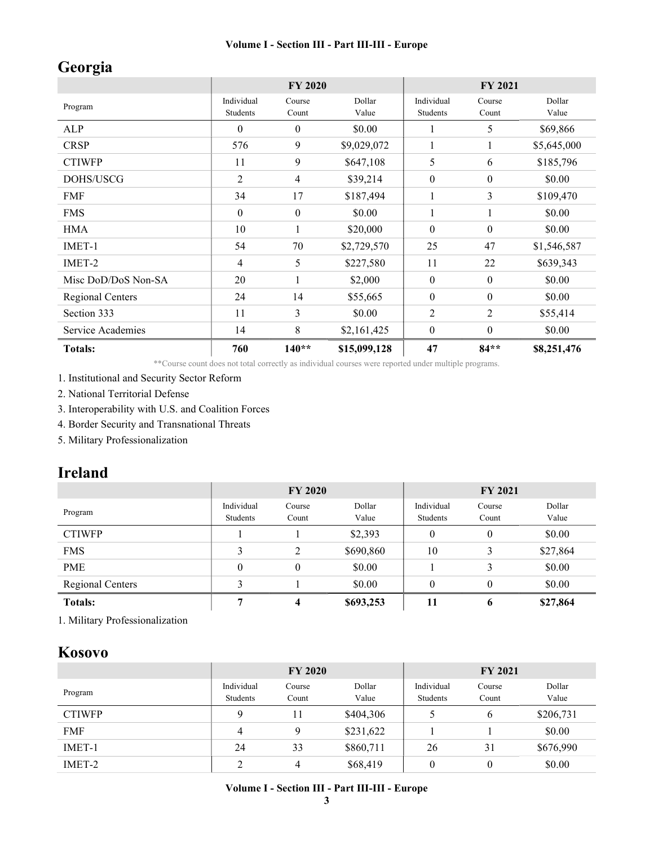# Georgia

|                         | <b>FY 2020</b>         |                  |                 | <b>FY 2021</b>         |                  |                 |
|-------------------------|------------------------|------------------|-----------------|------------------------|------------------|-----------------|
| Program                 | Individual<br>Students | Course<br>Count  | Dollar<br>Value | Individual<br>Students | Course<br>Count  | Dollar<br>Value |
| <b>ALP</b>              | $\theta$               | $\theta$         | \$0.00          | 1                      | 5                | \$69,866        |
| <b>CRSP</b>             | 576                    | 9                | \$9,029,072     | $\mathbf{1}$           | 1                | \$5,645,000     |
| <b>CTIWFP</b>           | 11                     | 9                | \$647,108       | 5                      | 6                | \$185,796       |
| DOHS/USCG               | 2                      | 4                | \$39,214        | $\boldsymbol{0}$       | $\boldsymbol{0}$ | \$0.00          |
| <b>FMF</b>              | 34                     | 17               | \$187,494       | 1                      | 3                | \$109,470       |
| <b>FMS</b>              | $\theta$               | $\boldsymbol{0}$ | \$0.00          | 1                      | 1                | \$0.00          |
| <b>HMA</b>              | 10                     |                  | \$20,000        | $\theta$               | $\theta$         | \$0.00          |
| IMET-1                  | 54                     | 70               | \$2,729,570     | 25                     | 47               | \$1,546,587     |
| IMET-2                  | 4                      | 5                | \$227,580       | 11                     | 22               | \$639,343       |
| Misc DoD/DoS Non-SA     | 20                     |                  | \$2,000         | $\boldsymbol{0}$       | $\boldsymbol{0}$ | \$0.00          |
| <b>Regional Centers</b> | 24                     | 14               | \$55,665        | $\boldsymbol{0}$       | $\boldsymbol{0}$ | \$0.00          |
| Section 333             | 11                     | 3                | \$0.00          | 2                      | 2                | \$55,414        |
| Service Academies       | 14                     | 8                | \$2,161,425     | $\boldsymbol{0}$       | $\theta$         | \$0.00          |
| <b>Totals:</b>          | 760                    | $140**$          | \$15,099,128    | 47                     | $84**$           | \$8,251,476     |

\*\*Course count does not total correctly as individual courses were reported under multiple programs.

1. Institutional and Security Sector Reform

2. National Territorial Defense

3. Interoperability with U.S. and Coalition Forces

4. Border Security and Transnational Threats

5. Military Professionalization

# Ireland

|                         | <b>FY 2020</b>         |                 |                 | <b>FY 2021</b>         |                  |                 |
|-------------------------|------------------------|-----------------|-----------------|------------------------|------------------|-----------------|
| Program                 | Individual<br>Students | Course<br>Count | Dollar<br>Value | Individual<br>Students | Course<br>Count  | Dollar<br>Value |
| <b>CTIWFP</b>           |                        |                 | \$2,393         | $\theta$               | $\boldsymbol{0}$ | \$0.00          |
| <b>FMS</b>              | 3                      | 2               | \$690,860       | 10                     | 3                | \$27,864        |
| <b>PME</b>              | $\theta$               | $\theta$        | \$0.00          |                        | 3                | \$0.00          |
| <b>Regional Centers</b> | 2                      |                 | \$0.00          | $\theta$               | 0                | \$0.00          |
| <b>Totals:</b>          |                        | 4               | \$693,253       | 11                     | 6                | \$27,864        |

1. Military Professionalization

### Kosovo

|               | <b>FY 2020</b>         |                 |                 | <b>FY 2021</b>         |                 |                 |
|---------------|------------------------|-----------------|-----------------|------------------------|-----------------|-----------------|
| Program       | Individual<br>Students | Course<br>Count | Dollar<br>Value | Individual<br>Students | Course<br>Count | Dollar<br>Value |
| <b>CTIWFP</b> | Q                      | 11              | \$404,306       |                        | 6               | \$206,731       |
| <b>FMF</b>    | 4                      | Q               | \$231,622       |                        |                 | \$0.00          |
| IMET-1        | 24                     | 33              | \$860,711       | 26                     | 31              | \$676,990       |
| IMET-2        | ∍<br>∠                 | 4               | \$68,419        | $\theta$               | $\theta$        | \$0.00          |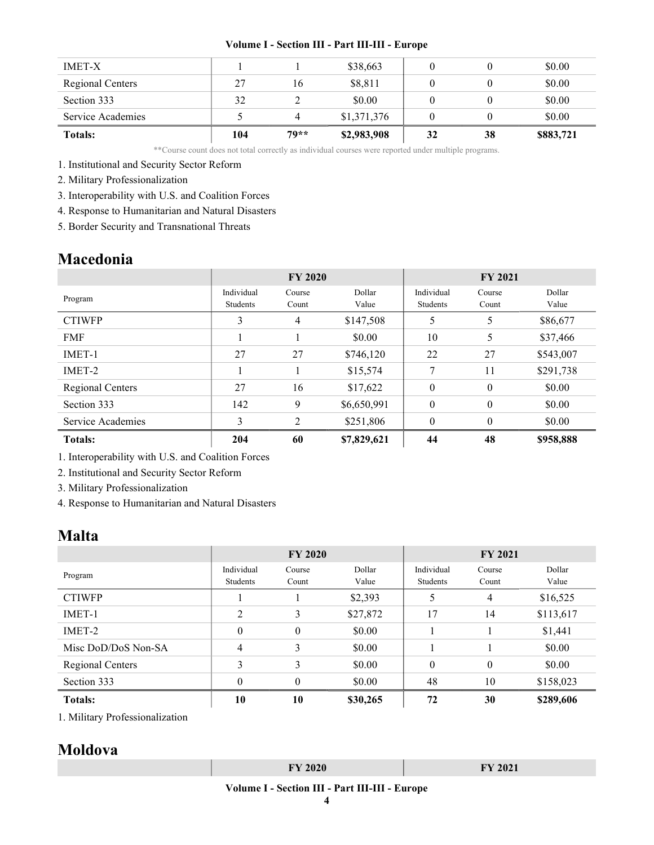| <b>IMET-X</b>     |     |        | \$38,663    |    |    | \$0.00    |
|-------------------|-----|--------|-------------|----|----|-----------|
| Regional Centers  | 27  | 16     | \$8,811     |    |    | \$0.00    |
| Section 333       | 32  |        | \$0.00      |    |    | \$0.00    |
| Service Academies |     |        | \$1,371,376 |    |    | \$0.00    |
| <b>Totals:</b>    | 104 | $79**$ | \$2,983,908 | 32 | 38 | \$883,721 |

\*\*Course count does not total correctly as individual courses were reported under multiple programs.

1. Institutional and Security Sector Reform

2. Military Professionalization

3. Interoperability with U.S. and Coalition Forces

4. Response to Humanitarian and Natural Disasters

5. Border Security and Transnational Threats

### Macedonia

|                   | <b>FY 2020</b>         |                 |                 | <b>FY 2021</b>         |                 |                 |
|-------------------|------------------------|-----------------|-----------------|------------------------|-----------------|-----------------|
| Program           | Individual<br>Students | Course<br>Count | Dollar<br>Value | Individual<br>Students | Course<br>Count | Dollar<br>Value |
| <b>CTIWFP</b>     | 3                      | 4               | \$147,508       | 5                      | 5               | \$86,677        |
| <b>FMF</b>        |                        |                 | \$0.00          | 10                     | 5               | \$37,466        |
| IMET-1            | 27                     | 27              | \$746,120       | 22                     | 27              | \$543,007       |
| IMET-2            |                        |                 | \$15,574        | 7                      | 11              | \$291,738       |
| Regional Centers  | 27                     | 16              | \$17,622        | $\theta$               | $\theta$        | \$0.00          |
| Section 333       | 142                    | 9               | \$6,650,991     | $\mathbf{0}$           | $\mathbf{0}$    | \$0.00          |
| Service Academies | 3                      | $\mathfrak{D}$  | \$251,806       | $\theta$               | $\theta$        | \$0.00          |
| <b>Totals:</b>    | 204                    | 60              | \$7,829,621     | 44                     | 48              | \$958,888       |

1. Interoperability with U.S. and Coalition Forces

2. Institutional and Security Sector Reform

3. Military Professionalization

4. Response to Humanitarian and Natural Disasters

### Malta

|                     | <b>FY 2020</b>         |                 |                 | <b>FY 2021</b>         |                 |                 |  |
|---------------------|------------------------|-----------------|-----------------|------------------------|-----------------|-----------------|--|
| Program             | Individual<br>Students | Course<br>Count | Dollar<br>Value | Individual<br>Students | Course<br>Count | Dollar<br>Value |  |
| <b>CTIWFP</b>       |                        |                 | \$2,393         | 5                      | 4               | \$16,525        |  |
| IMET-1              | $\overline{2}$         | 3               | \$27,872        | 17                     | 14              | \$113,617       |  |
| IMET-2              | $\theta$               | $\theta$        | \$0.00          |                        |                 | \$1,441         |  |
| Misc DoD/DoS Non-SA | 4                      | 3               | \$0.00          |                        |                 | \$0.00          |  |
| Regional Centers    | 3                      | 3               | \$0.00          | $\theta$               | $\theta$        | \$0.00          |  |
| Section 333         | $\theta$               | $\theta$        | \$0.00          | 48                     | 10              | \$158,023       |  |
| <b>Totals:</b>      | 10                     | 10              | \$30,265        | 72                     | 30              | \$289,606       |  |

1. Military Professionalization

# Moldova

| $EVI$ 2020<br>------ | TTAOA<br>Y ZUZI |
|----------------------|-----------------|
|                      |                 |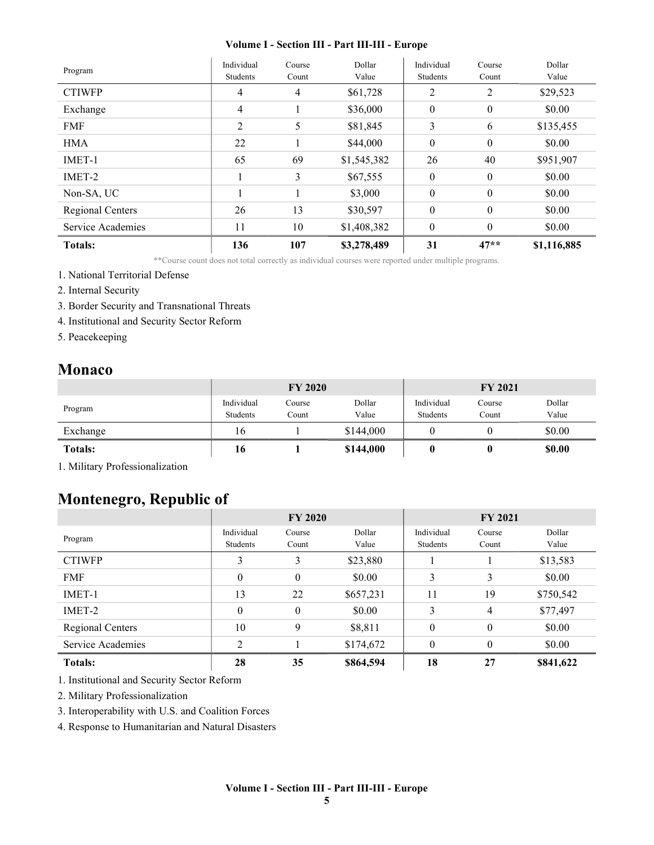| Program           | Individual<br>Students | Course<br>Count | Dollar<br>Value | Individual<br>Students | Course<br>Count  | Dollar<br>Value |
|-------------------|------------------------|-----------------|-----------------|------------------------|------------------|-----------------|
| <b>CTIWFP</b>     | 4                      | 4               | \$61,728        | 2                      | 2                | \$29,523        |
| Exchange          | $\overline{4}$         |                 | \$36,000        | $\mathbf{0}$           | $\mathbf{0}$     | \$0.00          |
| <b>FMF</b>        | 2                      | 5               | \$81,845        | 3                      | 6                | \$135,455       |
| <b>HMA</b>        | 22                     |                 | \$44,000        | $\theta$               | $\boldsymbol{0}$ | \$0.00          |
| IMET-1            | 65                     | 69              | \$1,545,382     | 26                     | 40               | \$951,907       |
| IMET-2            |                        | 3               | \$67,555        | $\mathbf{0}$           | $\mathbf{0}$     | \$0.00          |
| Non-SA, UC        |                        |                 | \$3,000         | $\mathbf{0}$           | $\mathbf{0}$     | \$0.00          |
| Regional Centers  | 26                     | 13              | \$30,597        | $\boldsymbol{0}$       | $\boldsymbol{0}$ | \$0.00          |
| Service Academies | 11                     | 10              | \$1,408,382     | $\boldsymbol{0}$       | $\theta$         | \$0.00          |
| <b>Totals:</b>    | 136                    | 107             | \$3,278,489     | 31                     | $47**$           | \$1,116,885     |

\*\*Course count does not total correctly as individual courses were reported under multiple programs.

- 1. National Territorial Defense
- 2. Internal Security
- 3. Border Security and Transnational Threats
- 4. Institutional and Security Sector Reform
- 5. Peacekeeping

### Monaco

|                | <b>FY 2020</b>         |                 |                 | <b>FY 2021</b>         |                 |                 |
|----------------|------------------------|-----------------|-----------------|------------------------|-----------------|-----------------|
| Program        | Individual<br>Students | Course<br>Count | Dollar<br>Value | Individual<br>Students | Course<br>Count | Dollar<br>Value |
| Exchange       | 16                     |                 | \$144,000       |                        |                 | \$0.00          |
| <b>Totals:</b> | 10                     |                 | \$144,000       |                        |                 | \$0.00          |

1. Military Professionalization

# Montenegro, Republic of

|                   | <b>FY 2020</b>         |                 |                 | <b>FY 2021</b>         |                 |                 |
|-------------------|------------------------|-----------------|-----------------|------------------------|-----------------|-----------------|
| Program           | Individual<br>Students | Course<br>Count | Dollar<br>Value | Individual<br>Students | Course<br>Count | Dollar<br>Value |
| <b>CTIWFP</b>     | 3                      | 3               | \$23,880        |                        |                 | \$13,583        |
| <b>FMF</b>        | $\theta$               | $\theta$        | \$0.00          | 3                      | 3               | \$0.00          |
| IMET-1            | 13                     | 22              | \$657,231       | 11                     | 19              | \$750,542       |
| IMET-2            | $\theta$               | $\theta$        | \$0.00          | 3                      | 4               | \$77,497        |
| Regional Centers  | 10                     | 9               | \$8,811         | $\theta$               | $\theta$        | \$0.00          |
| Service Academies | $\overline{c}$         |                 | \$174,672       | $\theta$               | $\theta$        | \$0.00          |
| <b>Totals:</b>    | 28                     | 35              | \$864,594       | 18                     | 27              | \$841,622       |

1. Institutional and Security Sector Reform

2. Military Professionalization

3. Interoperability with U.S. and Coalition Forces

4. Response to Humanitarian and Natural Disasters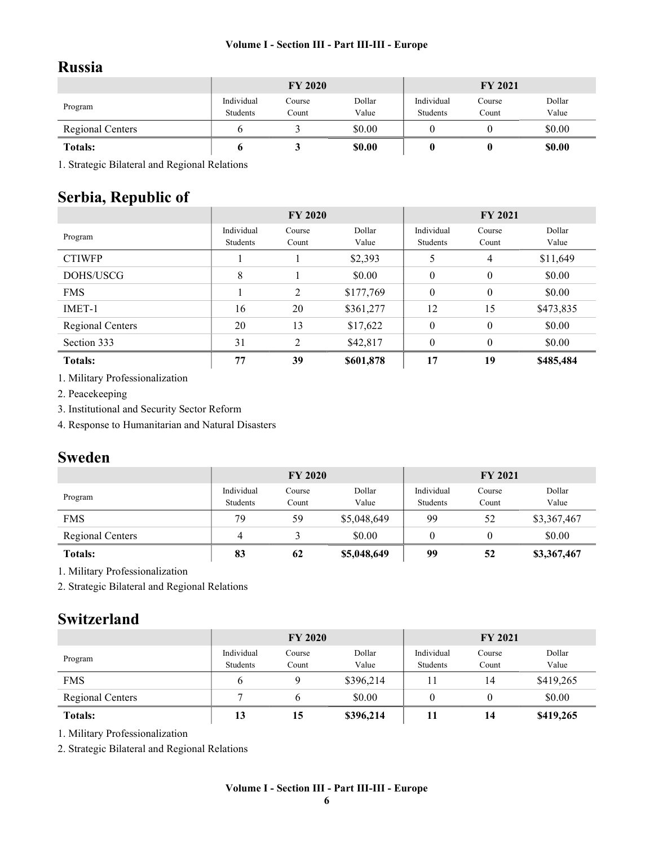# Russia

|                         | <b>FY 2020</b>         |                 |                 | <b>FY 2021</b>         |                 |                 |
|-------------------------|------------------------|-----------------|-----------------|------------------------|-----------------|-----------------|
| Program                 | Individual<br>Students | Course<br>Count | Dollar<br>Value | Individual<br>Students | Course<br>Count | Dollar<br>Value |
| <b>Regional Centers</b> |                        |                 | \$0.00          |                        |                 | \$0.00          |
| <b>Totals:</b>          |                        |                 | <b>SO.00</b>    |                        |                 | \$0.00          |

1. Strategic Bilateral and Regional Relations

# Serbia, Republic of

|                  | <b>FY 2020</b>         |                 |                 | <b>FY 2021</b>         |                  |                 |
|------------------|------------------------|-----------------|-----------------|------------------------|------------------|-----------------|
| Program          | Individual<br>Students | Course<br>Count | Dollar<br>Value | Individual<br>Students | Course<br>Count  | Dollar<br>Value |
| <b>CTIWFP</b>    |                        |                 | \$2,393         | 5                      | $\overline{4}$   | \$11,649        |
| DOHS/USCG        | 8                      |                 | \$0.00          | $\mathbf{0}$           | $\mathbf{0}$     | \$0.00          |
| <b>FMS</b>       |                        | 2               | \$177,769       | $\mathbf{0}$           | $\mathbf{0}$     | \$0.00          |
| IMET-1           | 16                     | 20              | \$361,277       | 12                     | 15               | \$473,835       |
| Regional Centers | 20                     | 13              | \$17,622        | $\mathbf{0}$           | $\boldsymbol{0}$ | \$0.00          |
| Section 333      | 31                     | $\mathfrak{D}$  | \$42,817        | $\theta$               | $\theta$         | \$0.00          |
| <b>Totals:</b>   | 77                     | 39              | \$601,878       | 17                     | 19               | \$485,484       |

1. Military Professionalization

2. Peacekeeping

3. Institutional and Security Sector Reform

4. Response to Humanitarian and Natural Disasters

# Sweden

|                         | <b>FY 2020</b>         |                 |                 | <b>FY 2021</b>         |                 |                 |
|-------------------------|------------------------|-----------------|-----------------|------------------------|-----------------|-----------------|
| Program                 | Individual<br>Students | Course<br>Count | Dollar<br>Value | Individual<br>Students | Course<br>Count | Dollar<br>Value |
| <b>FMS</b>              | 79                     | 59              | \$5,048,649     | 99                     | 52              | \$3,367,467     |
| <b>Regional Centers</b> |                        |                 | \$0.00          |                        |                 | \$0.00          |
| <b>Totals:</b>          | 83                     | 62              | \$5,048,649     | 99                     | 52              | \$3,367,467     |

1. Military Professionalization

2. Strategic Bilateral and Regional Relations

# Switzerland

|                         | <b>FY 2020</b>         |                 |                 | <b>FY 2021</b>         |                 |                 |
|-------------------------|------------------------|-----------------|-----------------|------------------------|-----------------|-----------------|
| Program                 | Individual<br>Students | Course<br>Count | Dollar<br>Value | Individual<br>Students | Course<br>Count | Dollar<br>Value |
| <b>FMS</b>              | b                      |                 | \$396,214       |                        | 14              | \$419,265       |
| <b>Regional Centers</b> |                        |                 | \$0.00          |                        |                 | \$0.00          |
| <b>Totals:</b>          | 13                     | 15              | \$396,214       |                        | 14              | \$419,265       |

1. Military Professionalization

2. Strategic Bilateral and Regional Relations